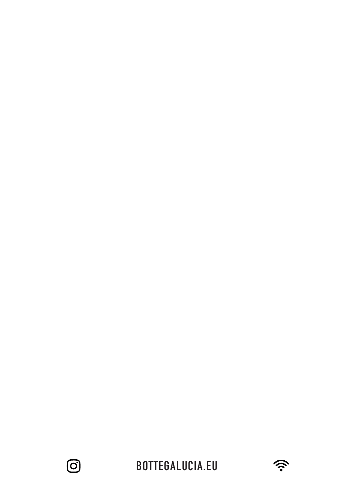

**BOTTEGALUCIA.EU**

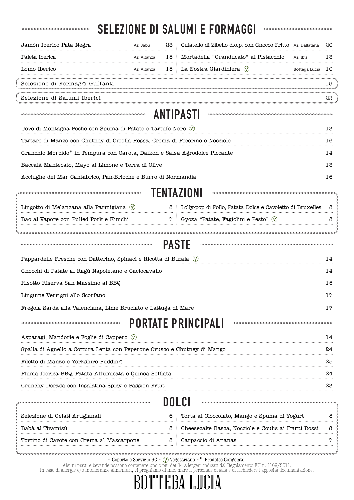|                                                                                                                                                     |                 |      | <b>SELEZIONE DI SALUMI E FORMAGGI</b>                       |        |  |
|-----------------------------------------------------------------------------------------------------------------------------------------------------|-----------------|------|-------------------------------------------------------------|--------|--|
| Jamón Iberico Pata Negra                                                                                                                            | Az. Jabu        | 23   | Culatello di Zibello d.o.p. con Gnocco Fritto Az. Dallatana | 20     |  |
| Paleta Iberica                                                                                                                                      | Az. Altanza     | 15   | Mortadella "Granducato" al Pistacchio<br>Az. Ibis           | 13     |  |
| Lomo Iberico                                                                                                                                        | Az. Altanza     | 15   | La Nostra Giardiniera (V)<br>Bottega Lucia                  | 10     |  |
| Selezione di Formaggi Guffanti                                                                                                                      |                 |      |                                                             | 15     |  |
| Selezione di Salumi Iberici                                                                                                                         |                 |      |                                                             | 22     |  |
|                                                                                                                                                     | 000000000000000 |      | ANTIPASTI                                                   |        |  |
|                                                                                                                                                     |                 |      |                                                             | 13     |  |
| Uovo di Montagna Poché con Spuma di Patate e Tartufo Nero $\Diamond$<br>Tartare di Manzo con Chutney di Cipolla Rossa, Crema di Pecorino e Nocciole |                 |      |                                                             |        |  |
| Granchio Morbido* in Tempura con Carota, Daikon e Salsa Agrodolce Piccante                                                                          |                 |      |                                                             |        |  |
| Baccalà Mantecato, Mayo al Limone e Terra di Olive                                                                                                  |                 |      |                                                             |        |  |
|                                                                                                                                                     |                 |      |                                                             |        |  |
| Acciughe del Mar Cantabrico, Pan-Brioche e Burro di Normandia                                                                                       |                 |      |                                                             | 16     |  |
|                                                                                                                                                     |                 |      | TENTAZIONI                                                  |        |  |
| Lingotto di Melanzana alla Parmigiana (V)                                                                                                           |                 | 8    | Lolly-pop di Pollo, Patata Dolce e Cavoletto di Bruxelles   | 8      |  |
| Bao al Vapore con Pulled Pork e Kimchi                                                                                                              |                 | 7    | Gyoza "Patate, Fagiolini e Pesto" $\sqrt{2}$                | 8      |  |
|                                                                                                                                                     |                 |      | <b>PASTE</b>                                                |        |  |
| Pappardelle Fresche con Datterino, Spinaci e Ricotta di Bufala $\Diamond$                                                                           |                 |      |                                                             | 14     |  |
| Gnocchi di Patate al Ragù Napoletano e Caciocavallo                                                                                                 |                 |      |                                                             |        |  |
| Risotto Riserva San Massimo al BBQ                                                                                                                  |                 |      |                                                             | 15     |  |
| Linguine Verrigni allo Scorfano                                                                                                                     |                 |      |                                                             | 17     |  |
| Fregola Sarda alla Valenciana, Lime Bruciato e Lattuga di Mare                                                                                      |                 |      |                                                             |        |  |
|                                                                                                                                                     |                 |      | <b>PORTATE PRINCIPALI</b>                                   |        |  |
| Asparagi, Mandorle e Foglie di Cappero $\Diamond$                                                                                                   |                 |      |                                                             | 14     |  |
| Spalla di Agnello a Cottura Lenta con Peperone Crusco e Chutney di Mango                                                                            |                 |      |                                                             | 24     |  |
| Filetto di Manzo e Yorkshire Pudding                                                                                                                |                 |      |                                                             |        |  |
| Pluma Iberica BBQ, Patata Affumicata e Quinoa Soffiata                                                                                              |                 |      |                                                             |        |  |
| Crunchy Dorada con Insalatina Spicy e Passion Fruit                                                                                                 |                 |      |                                                             | 23     |  |
|                                                                                                                                                     |                 | DOLC |                                                             |        |  |
|                                                                                                                                                     |                 |      |                                                             |        |  |
| Selezione di Gelati Artigianali                                                                                                                     |                 | 6    | Torta al Cioccolato, Mango e Spuma di Yogurt                | 8      |  |
| Babà al Tiramisù                                                                                                                                    |                 | 8    | Cheesecake Basca, Nocciole e Coulis ai Frutti Rossi         | 8<br>7 |  |
| Tortino di Carote con Crema al Mascarpone                                                                                                           |                 | 8    | Carpaccio di Ananas                                         |        |  |
|                                                                                                                                                     |                 |      |                                                             |        |  |

 $\ddot{\phantom{a}}$ 

j.

- Coperto e Servizio 3€ -  $\circled{v}$  Vegetariano - \* Prodotto Congelato -

Alcuni piatti e bevande possono contenere uno o più dei 14 allergeni indicati dal Regolamento EU n. 1169/2011.

In caso di allergie e/o intolleranze alimentari, vi preghiamo di informare il personale di sala e di richiedere l'apposita documentazione.